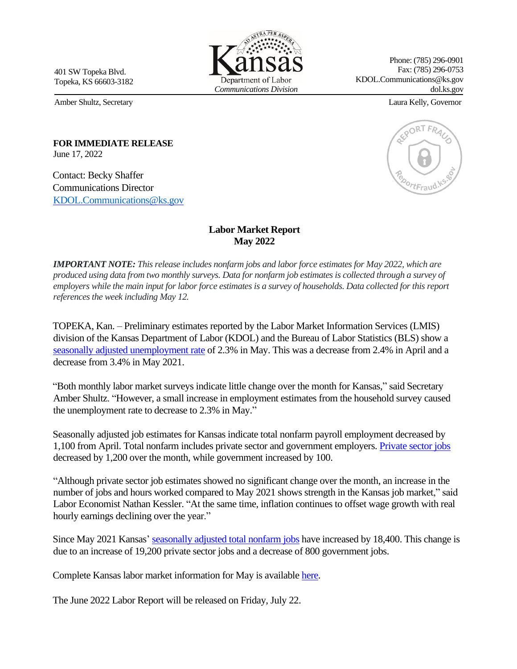401 SW Topeka Blvd. Topeka, KS 66603-3182

Phone: (785) 296-0901 Fax: (785) 296-0753 KDOL.Communications@ks.gov dol.ks.gov

Amber Shultz, Secretary Laura Kelly, Governor

**FOR IMMEDIATE RELEASE**  June 17, 2022

Contact: Becky Shaffer Communications Director [KDOL.Communications](mailto:KDOL.Communications@ks.gov)@ks.gov

## **Labor Market Report May 2022**

*IMPORTANT NOTE: This release includes nonfarm jobs and labor force estimates for May 2022, which are produced using data from two monthly surveys. Data for nonfarm job estimates is collected through a survey of employers while the main input for labor force estimates is a survey of households. Data collected for this report references the week including May 12.* 

TOPEKA, Kan. – Preliminary estimates reported by the Labor Market Information Services (LMIS) division of the Kansas Department of Labor (KDOL) and the Bureau of Labor Statistics (BLS) show a [seasonally adjusted unemployment rate](https://klic.dol.ks.gov/admin/gsipub/htmlarea/uploads/Press%20Release/LR%20May2022%20SA%20Rate%20Chart%20file.pdf) [of](https://klic.dol.ks.gov/admin/gsipub/htmlarea/uploads/LR%20Aug2020%20SA%20Rate%20Chart%20file.pdf) 2.3% in May. This was a decrease from 2.4% in April and a decrease from 3.4% in May 2021.

"Both monthly labor market surveys indicate little change over the month for Kansas," said Secretary Amber Shultz. "However, a small increase in employment estimates from the household survey caused the unemployment rate to decrease to 2.3% in May."

Seasonally adjusted job estimates for Kansas indicate total nonfarm payroll employment decreased by 1,100 from April. Total nonfarm includes private sector and government employers[. Private sector jobs](https://klic.dol.ks.gov/admin/gsipub/htmlarea/uploads/Press%20Release/LR%20May2022%20SA%20PrivateEmpl%20Chart%20file.pdf) decreased by 1,200 over the month, while government increased by 100.

"Although private sector job estimates showed no significant change over the month, an increase in the number of jobs and hours worked compared to May 2021 shows strength in the Kansas job market," said Labor Economist Nathan Kessler. "At the same time, inflation continues to offset wage growth with real hourly earnings declining over the year."

Since May 2021 Kansas' seasonally [adjusted total nonfarm jobs](https://klic.dol.ks.gov/admin/gsipub/htmlarea/uploads/Press%20Release/LR%20May2022%20Seasonally%20Adj%20PR%20Packet.pdf) [ha](https://klic.dol.ks.gov/admin/gsipub/htmlarea/uploads/LR%20Aug2020%20Seasonally%20Adj%20PR%20Packet.pdf)ve increased by 18,400. This change is due to an increase of 19,200 private sector jobs and a decrease of 800 government jobs.

Complete Kansas labor market information for May is available [here](https://klic.dol.ks.gov/vosnet/gsipub/documentView.aspx?docid=472)[.](https://klic.dol.ks.gov/gsipub/index.asp?docid=472)

The June 2022 Labor Report will be released on Friday, July 22.